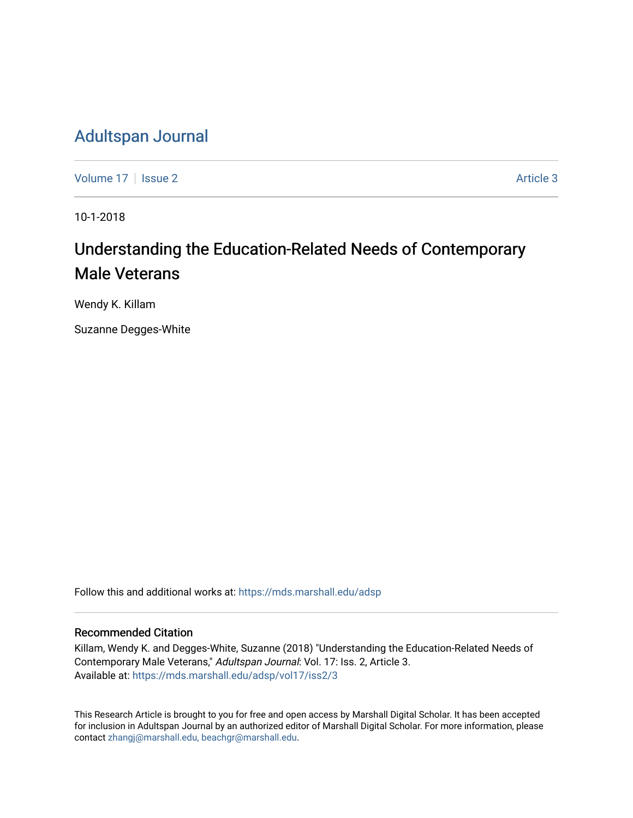# [Adultspan Journal](https://mds.marshall.edu/adsp)

[Volume 17](https://mds.marshall.edu/adsp/vol17) | [Issue 2](https://mds.marshall.edu/adsp/vol17/iss2) Article 3

10-1-2018

# Understanding the Education-Related Needs of Contemporary Male Veterans

Wendy K. Killam

Suzanne Degges-White

Follow this and additional works at: [https://mds.marshall.edu/adsp](https://mds.marshall.edu/adsp?utm_source=mds.marshall.edu%2Fadsp%2Fvol17%2Fiss2%2F3&utm_medium=PDF&utm_campaign=PDFCoverPages) 

#### Recommended Citation

Killam, Wendy K. and Degges-White, Suzanne (2018) "Understanding the Education-Related Needs of Contemporary Male Veterans," Adultspan Journal: Vol. 17: Iss. 2, Article 3. Available at: [https://mds.marshall.edu/adsp/vol17/iss2/3](https://mds.marshall.edu/adsp/vol17/iss2/3?utm_source=mds.marshall.edu%2Fadsp%2Fvol17%2Fiss2%2F3&utm_medium=PDF&utm_campaign=PDFCoverPages) 

This Research Article is brought to you for free and open access by Marshall Digital Scholar. It has been accepted for inclusion in Adultspan Journal by an authorized editor of Marshall Digital Scholar. For more information, please contact [zhangj@marshall.edu, beachgr@marshall.edu](mailto:zhangj@marshall.edu,%20beachgr@marshall.edu).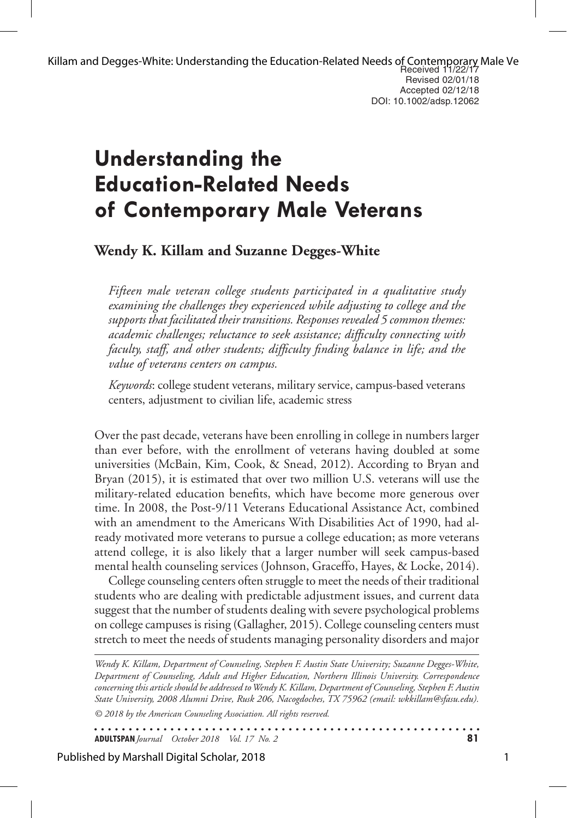Killam and Degges-White: Understanding the Education-Related Needs of Contemporary Male Ve<br>Received 11/22/17 Revised 02/01/18 Accepted 02/12/18 DOI: 10.1002/adsp.12062

# **Understanding the Education-Related Needs of Contemporary Male Veterans**

# **Wendy K. Killam and Suzanne Degges-White**

*Fifteen male veteran college students participated in a qualitative study examining the challenges they experienced while adjusting to college and the supports that facilitated their transitions. Responses revealed 5 common themes: academic challenges; reluctance to seek assistance; difficulty connecting with faculty, staff, and other students; difficulty finding balance in life; and the value of veterans centers on campus.*

*Keywords*: college student veterans, military service, campus-based veterans centers, adjustment to civilian life, academic stress

Over the past decade, veterans have been enrolling in college in numbers larger than ever before, with the enrollment of veterans having doubled at some universities (McBain, Kim, Cook, & Snead, 2012). According to Bryan and Bryan (2015), it is estimated that over two million U.S. veterans will use the military-related education benefits, which have become more generous over time. In 2008, the Post-9/11 Veterans Educational Assistance Act, combined with an amendment to the Americans With Disabilities Act of 1990, had already motivated more veterans to pursue a college education; as more veterans attend college, it is also likely that a larger number will seek campus-based mental health counseling services (Johnson, Graceffo, Hayes, & Locke, 2014).

College counseling centers often struggle to meet the needs of their traditional students who are dealing with predictable adjustment issues, and current data suggest that the number of students dealing with severe psychological problems on college campuses is rising (Gallagher, 2015). College counseling centers must stretch to meet the needs of students managing personality disorders and major

*© 2018 by the American Counseling Association. All rights reserved. Wendy K. Killam, Department of Counseling, Stephen F. Austin State University; Suzanne Degges-White, Department of Counseling, Adult and Higher Education, Northern Illinois University. Correspondence concerning this article should be addressed to Wendy K. Killam, Department of Counseling, Stephen F. Austin State University, 2008 Alumni Drive, Rusk 206, Nacogdoches, TX 75962 (email: wkkillam@sfasu.edu).*

. . . . . . . . . . . . . . . . . . . . . . . . . . . . . . . . . . . . . **ADULTSPAN***Journal October 2018 Vol. 17 No. 2* **81**

Published by Marshall Digital Scholar, 2018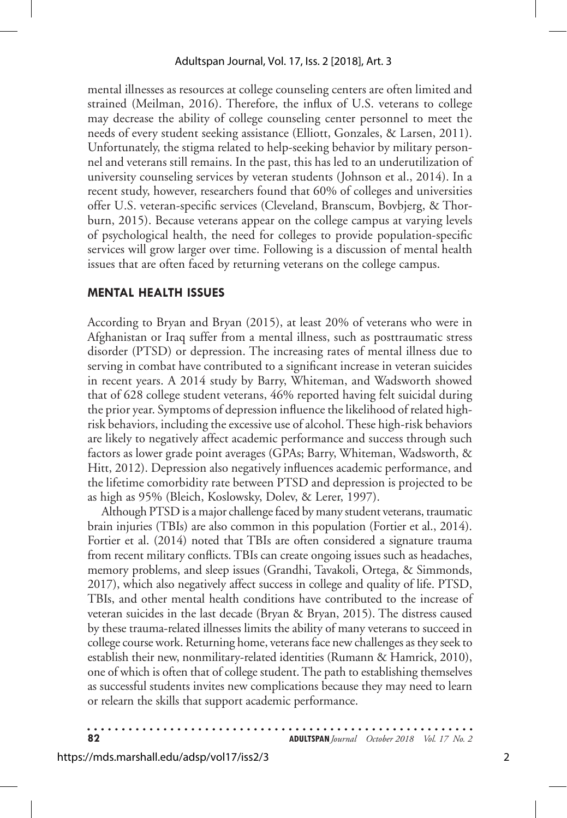mental illnesses as resources at college counseling centers are often limited and strained (Meilman, 2016). Therefore, the influx of U.S. veterans to college may decrease the ability of college counseling center personnel to meet the needs of every student seeking assistance (Elliott, Gonzales, & Larsen, 2011). Unfortunately, the stigma related to help-seeking behavior by military personnel and veterans still remains. In the past, this has led to an underutilization of university counseling services by veteran students (Johnson et al., 2014). In a recent study, however, researchers found that 60% of colleges and universities offer U.S. veteran-specific services (Cleveland, Branscum, Bovbjerg, & Thorburn, 2015). Because veterans appear on the college campus at varying levels of psychological health, the need for colleges to provide population-specific services will grow larger over time. Following is a discussion of mental health issues that are often faced by returning veterans on the college campus.

#### **MENTAL HEALTH ISSUES**

According to Bryan and Bryan (2015), at least 20% of veterans who were in Afghanistan or Iraq suffer from a mental illness, such as posttraumatic stress disorder (PTSD) or depression. The increasing rates of mental illness due to serving in combat have contributed to a significant increase in veteran suicides in recent years. A 2014 study by Barry, Whiteman, and Wadsworth showed that of 628 college student veterans, 46% reported having felt suicidal during the prior year. Symptoms of depression influence the likelihood of related highrisk behaviors, including the excessive use of alcohol. These high-risk behaviors are likely to negatively affect academic performance and success through such factors as lower grade point averages (GPAs; Barry, Whiteman, Wadsworth, & Hitt, 2012). Depression also negatively influences academic performance, and the lifetime comorbidity rate between PTSD and depression is projected to be as high as 95% (Bleich, Koslowsky, Dolev, & Lerer, 1997).

Although PTSD is a major challenge faced by many student veterans, traumatic brain injuries (TBIs) are also common in this population (Fortier et al., 2014). Fortier et al. (2014) noted that TBIs are often considered a signature trauma from recent military conflicts. TBIs can create ongoing issues such as headaches, memory problems, and sleep issues (Grandhi, Tavakoli, Ortega, & Simmonds, 2017), which also negatively affect success in college and quality of life. PTSD, TBIs, and other mental health conditions have contributed to the increase of veteran suicides in the last decade (Bryan & Bryan, 2015). The distress caused by these trauma-related illnesses limits the ability of many veterans to succeed in college course work. Returning home, veterans face new challenges as they seek to establish their new, nonmilitary-related identities (Rumann & Hamrick, 2010), one of which is often that of college student. The path to establishing themselves as successful students invites new complications because they may need to learn or relearn the skills that support academic performance.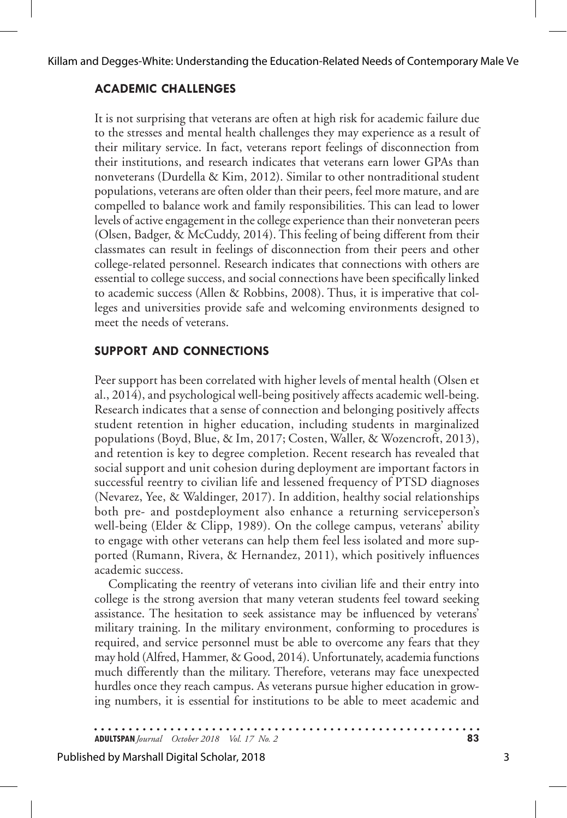# **ACADEMIC CHALLENGES**

It is not surprising that veterans are often at high risk for academic failure due to the stresses and mental health challenges they may experience as a result of their military service. In fact, veterans report feelings of disconnection from their institutions, and research indicates that veterans earn lower GPAs than nonveterans (Durdella & Kim, 2012). Similar to other nontraditional student populations, veterans are often older than their peers, feel more mature, and are compelled to balance work and family responsibilities. This can lead to lower levels of active engagement in the college experience than their nonveteran peers (Olsen, Badger, & McCuddy, 2014). This feeling of being different from their classmates can result in feelings of disconnection from their peers and other college-related personnel. Research indicates that connections with others are essential to college success, and social connections have been specifically linked to academic success (Allen & Robbins, 2008). Thus, it is imperative that colleges and universities provide safe and welcoming environments designed to meet the needs of veterans.

# **SUPPORT AND CONNECTIONS**

Peer support has been correlated with higher levels of mental health (Olsen et al., 2014), and psychological well-being positively affects academic well-being. Research indicates that a sense of connection and belonging positively affects student retention in higher education, including students in marginalized populations (Boyd, Blue, & Im, 2017; Costen, Waller, & Wozencroft, 2013), and retention is key to degree completion. Recent research has revealed that social support and unit cohesion during deployment are important factors in successful reentry to civilian life and lessened frequency of PTSD diagnoses (Nevarez, Yee, & Waldinger, 2017). In addition, healthy social relationships both pre- and postdeployment also enhance a returning serviceperson's well-being (Elder & Clipp, 1989). On the college campus, veterans' ability to engage with other veterans can help them feel less isolated and more supported (Rumann, Rivera, & Hernandez, 2011), which positively influences academic success.

Complicating the reentry of veterans into civilian life and their entry into college is the strong aversion that many veteran students feel toward seeking assistance. The hesitation to seek assistance may be influenced by veterans' military training. In the military environment, conforming to procedures is required, and service personnel must be able to overcome any fears that they may hold (Alfred, Hammer, & Good, 2014). Unfortunately, academia functions much differently than the military. Therefore, veterans may face unexpected hurdles once they reach campus. As veterans pursue higher education in growing numbers, it is essential for institutions to be able to meet academic and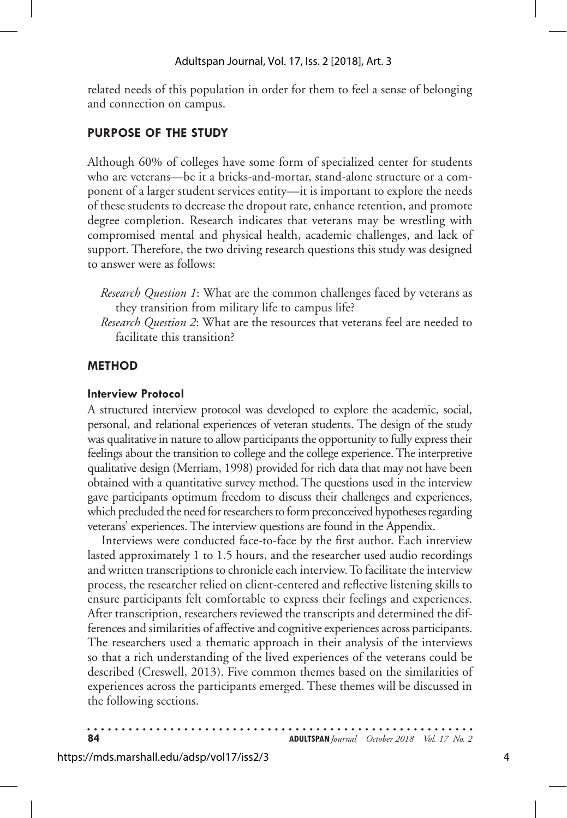related needs of this population in order for them to feel a sense of belonging and connection on campus.

# **PURPOSE OF THE STUDY**

Although 60% of colleges have some form of specialized center for students who are veterans—be it a bricks-and-mortar, stand-alone structure or a component of a larger student services entity—it is important to explore the needs of these students to decrease the dropout rate, enhance retention, and promote degree completion. Research indicates that veterans may be wrestling with compromised mental and physical health, academic challenges, and lack of support. Therefore, the two driving research questions this study was designed to answer were as follows:

- *Research Question 1*: What are the common challenges faced by veterans as they transition from military life to campus life?
- *Research Question 2*: What are the resources that veterans feel are needed to facilitate this transition?

### **METHOD**

#### **Interview Protocol**

A structured interview protocol was developed to explore the academic, social, personal, and relational experiences of veteran students. The design of the study was qualitative in nature to allow participants the opportunity to fully express their feelings about the transition to college and the college experience. The interpretive qualitative design (Merriam, 1998) provided for rich data that may not have been obtained with a quantitative survey method. The questions used in the interview gave participants optimum freedom to discuss their challenges and experiences, which precluded the need for researchers to form preconceived hypotheses regarding veterans' experiences. The interview questions are found in the Appendix.

Interviews were conducted face-to-face by the first author. Each interview lasted approximately 1 to 1.5 hours, and the researcher used audio recordings and written transcriptions to chronicle each interview. To facilitate the interview process, the researcher relied on client-centered and reflective listening skills to ensure participants felt comfortable to express their feelings and experiences. After transcription, researchers reviewed the transcripts and determined the differences and similarities of affective and cognitive experiences across participants. The researchers used a thematic approach in their analysis of the interviews so that a rich understanding of the lived experiences of the veterans could be described (Creswell, 2013). Five common themes based on the similarities of experiences across the participants emerged. These themes will be discussed in the following sections.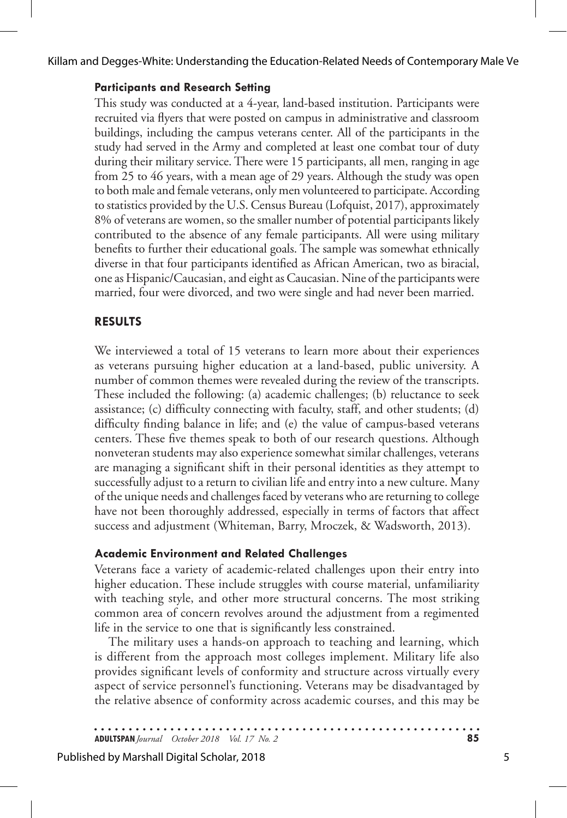Killam and Degges-White: Understanding the Education-Related Needs of Contemporary Male Ve

#### **Participants and Research Setting**

This study was conducted at a 4-year, land-based institution. Participants were recruited via flyers that were posted on campus in administrative and classroom buildings, including the campus veterans center. All of the participants in the study had served in the Army and completed at least one combat tour of duty during their military service. There were 15 participants, all men, ranging in age from 25 to 46 years, with a mean age of 29 years. Although the study was open to both male and female veterans, only men volunteered to participate. According to statistics provided by the U.S. Census Bureau (Lofquist, 2017), approximately 8% of veterans are women, so the smaller number of potential participants likely contributed to the absence of any female participants. All were using military benefits to further their educational goals. The sample was somewhat ethnically diverse in that four participants identified as African American, two as biracial, one as Hispanic/Caucasian, and eight as Caucasian. Nine of the participants were married, four were divorced, and two were single and had never been married.

#### **RESULTS**

We interviewed a total of 15 veterans to learn more about their experiences as veterans pursuing higher education at a land-based, public university. A number of common themes were revealed during the review of the transcripts. These included the following: (a) academic challenges; (b) reluctance to seek assistance; (c) difficulty connecting with faculty, staff, and other students; (d) difficulty finding balance in life; and (e) the value of campus-based veterans centers. These five themes speak to both of our research questions. Although nonveteran students may also experience somewhat similar challenges, veterans are managing a significant shift in their personal identities as they attempt to successfully adjust to a return to civilian life and entry into a new culture. Many of the unique needs and challenges faced by veterans who are returning to college have not been thoroughly addressed, especially in terms of factors that affect success and adjustment (Whiteman, Barry, Mroczek, & Wadsworth, 2013).

#### **Academic Environment and Related Challenges**

Veterans face a variety of academic-related challenges upon their entry into higher education. These include struggles with course material, unfamiliarity with teaching style, and other more structural concerns. The most striking common area of concern revolves around the adjustment from a regimented life in the service to one that is significantly less constrained.

The military uses a hands-on approach to teaching and learning, which is different from the approach most colleges implement. Military life also provides significant levels of conformity and structure across virtually every aspect of service personnel's functioning. Veterans may be disadvantaged by the relative absence of conformity across academic courses, and this may be

**ADULTSPAN***Journal October 2018 Vol. 17 No. 2* **85**

Published by Marshall Digital Scholar, 2018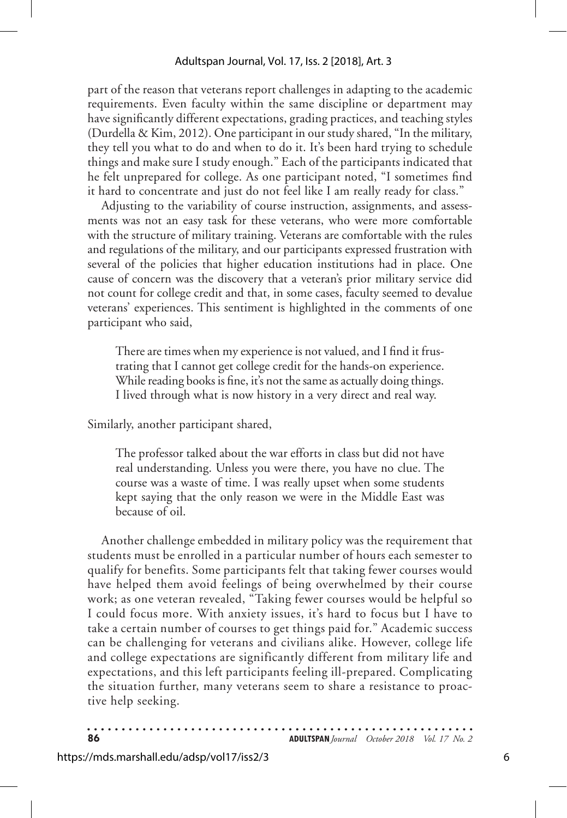#### Adultspan Journal, Vol. 17, Iss. 2 [2018], Art. 3

part of the reason that veterans report challenges in adapting to the academic requirements. Even faculty within the same discipline or department may have significantly different expectations, grading practices, and teaching styles (Durdella & Kim, 2012). One participant in our study shared, "In the military, they tell you what to do and when to do it. It's been hard trying to schedule things and make sure I study enough." Each of the participants indicated that he felt unprepared for college. As one participant noted, "I sometimes find it hard to concentrate and just do not feel like I am really ready for class."

Adjusting to the variability of course instruction, assignments, and assessments was not an easy task for these veterans, who were more comfortable with the structure of military training. Veterans are comfortable with the rules and regulations of the military, and our participants expressed frustration with several of the policies that higher education institutions had in place. One cause of concern was the discovery that a veteran's prior military service did not count for college credit and that, in some cases, faculty seemed to devalue veterans' experiences. This sentiment is highlighted in the comments of one participant who said,

There are times when my experience is not valued, and I find it frustrating that I cannot get college credit for the hands-on experience. While reading books is fine, it's not the same as actually doing things. I lived through what is now history in a very direct and real way.

Similarly, another participant shared,

The professor talked about the war efforts in class but did not have real understanding. Unless you were there, you have no clue. The course was a waste of time. I was really upset when some students kept saying that the only reason we were in the Middle East was because of oil.

Another challenge embedded in military policy was the requirement that students must be enrolled in a particular number of hours each semester to qualify for benefits. Some participants felt that taking fewer courses would have helped them avoid feelings of being overwhelmed by their course work; as one veteran revealed, "Taking fewer courses would be helpful so I could focus more. With anxiety issues, it's hard to focus but I have to take a certain number of courses to get things paid for." Academic success can be challenging for veterans and civilians alike. However, college life and college expectations are significantly different from military life and expectations, and this left participants feeling ill-prepared. Complicating the situation further, many veterans seem to share a resistance to proactive help seeking.

| -86 | <b>ADULTSPAN</b> Journal October 2018 Vol. 17 No. 2 |  |
|-----|-----------------------------------------------------|--|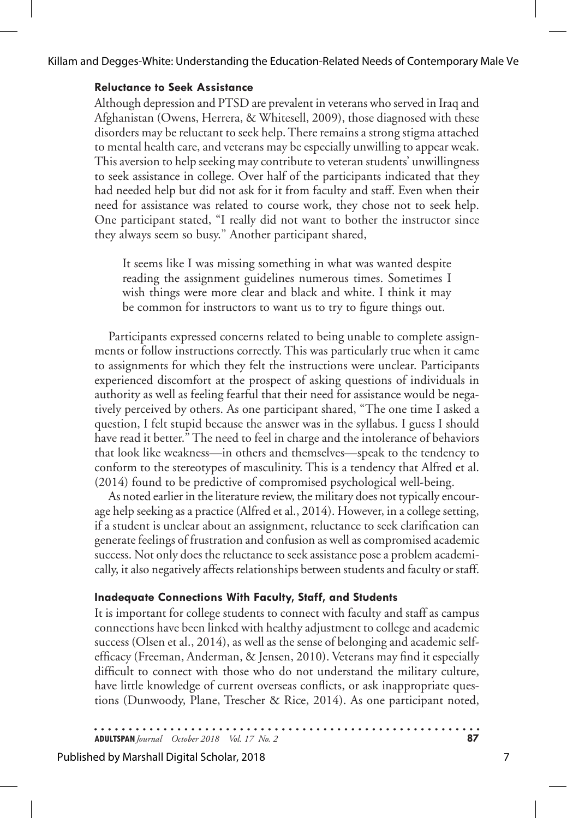Killam and Degges-White: Understanding the Education-Related Needs of Contemporary Male Ve

#### **Reluctance to Seek Assistance**

Although depression and PTSD are prevalent in veterans who served in Iraq and Afghanistan (Owens, Herrera, & Whitesell, 2009), those diagnosed with these disorders may be reluctant to seek help. There remains a strong stigma attached to mental health care, and veterans may be especially unwilling to appear weak. This aversion to help seeking may contribute to veteran students' unwillingness to seek assistance in college. Over half of the participants indicated that they had needed help but did not ask for it from faculty and staff. Even when their need for assistance was related to course work, they chose not to seek help. One participant stated, "I really did not want to bother the instructor since they always seem so busy." Another participant shared,

It seems like I was missing something in what was wanted despite reading the assignment guidelines numerous times. Sometimes I wish things were more clear and black and white. I think it may be common for instructors to want us to try to figure things out.

Participants expressed concerns related to being unable to complete assignments or follow instructions correctly. This was particularly true when it came to assignments for which they felt the instructions were unclear. Participants experienced discomfort at the prospect of asking questions of individuals in authority as well as feeling fearful that their need for assistance would be negatively perceived by others. As one participant shared, "The one time I asked a question, I felt stupid because the answer was in the syllabus. I guess I should have read it better." The need to feel in charge and the intolerance of behaviors that look like weakness—in others and themselves—speak to the tendency to conform to the stereotypes of masculinity. This is a tendency that Alfred et al. (2014) found to be predictive of compromised psychological well-being.

As noted earlier in the literature review, the military does not typically encourage help seeking as a practice (Alfred et al., 2014). However, in a college setting, if a student is unclear about an assignment, reluctance to seek clarification can generate feelings of frustration and confusion as well as compromised academic success. Not only does the reluctance to seek assistance pose a problem academically, it also negatively affects relationships between students and faculty or staff.

#### **Inadequate Connections With Faculty, Staff, and Students**

It is important for college students to connect with faculty and staff as campus connections have been linked with healthy adjustment to college and academic success (Olsen et al., 2014), as well as the sense of belonging and academic selfefficacy (Freeman, Anderman, & Jensen, 2010). Veterans may find it especially difficult to connect with those who do not understand the military culture, have little knowledge of current overseas conflicts, or ask inappropriate questions (Dunwoody, Plane, Trescher & Rice, 2014). As one participant noted,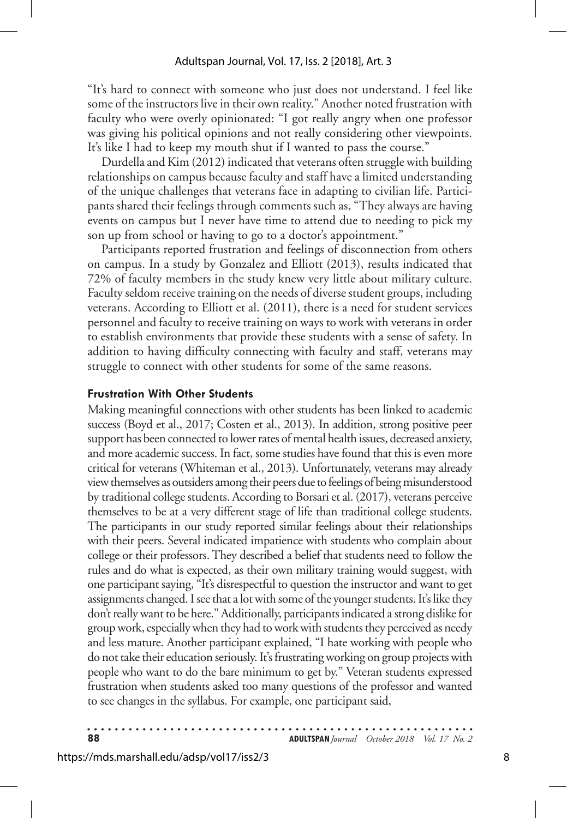"It's hard to connect with someone who just does not understand. I feel like some of the instructors live in their own reality." Another noted frustration with faculty who were overly opinionated: "I got really angry when one professor was giving his political opinions and not really considering other viewpoints. It's like I had to keep my mouth shut if I wanted to pass the course."

Durdella and Kim (2012) indicated that veterans often struggle with building relationships on campus because faculty and staff have a limited understanding of the unique challenges that veterans face in adapting to civilian life. Participants shared their feelings through comments such as, "They always are having events on campus but I never have time to attend due to needing to pick my son up from school or having to go to a doctor's appointment."

Participants reported frustration and feelings of disconnection from others on campus. In a study by Gonzalez and Elliott (2013), results indicated that 72% of faculty members in the study knew very little about military culture. Faculty seldom receive training on the needs of diverse student groups, including veterans. According to Elliott et al. (2011), there is a need for student services personnel and faculty to receive training on ways to work with veterans in order to establish environments that provide these students with a sense of safety. In addition to having difficulty connecting with faculty and staff, veterans may struggle to connect with other students for some of the same reasons.

#### **Frustration With Other Students**

Making meaningful connections with other students has been linked to academic success (Boyd et al., 2017; Costen et al., 2013). In addition, strong positive peer support has been connected to lower rates of mental health issues, decreased anxiety, and more academic success. In fact, some studies have found that this is even more critical for veterans (Whiteman et al., 2013). Unfortunately, veterans may already view themselves as outsiders among their peers due to feelings of being misunderstood by traditional college students. According to Borsari et al. (2017), veterans perceive themselves to be at a very different stage of life than traditional college students. The participants in our study reported similar feelings about their relationships with their peers. Several indicated impatience with students who complain about college or their professors. They described a belief that students need to follow the rules and do what is expected, as their own military training would suggest, with one participant saying, "It's disrespectful to question the instructor and want to get assignments changed. I see that a lot with some of the younger students. It's like they don't really want to be here." Additionally, participants indicated a strong dislike for group work, especially when they had to work with students they perceived as needy and less mature. Another participant explained, "I hate working with people who do not take their education seriously. It's frustrating working on group projects with people who want to do the bare minimum to get by." Veteran students expressed frustration when students asked too many questions of the professor and wanted to see changes in the syllabus. For example, one participant said,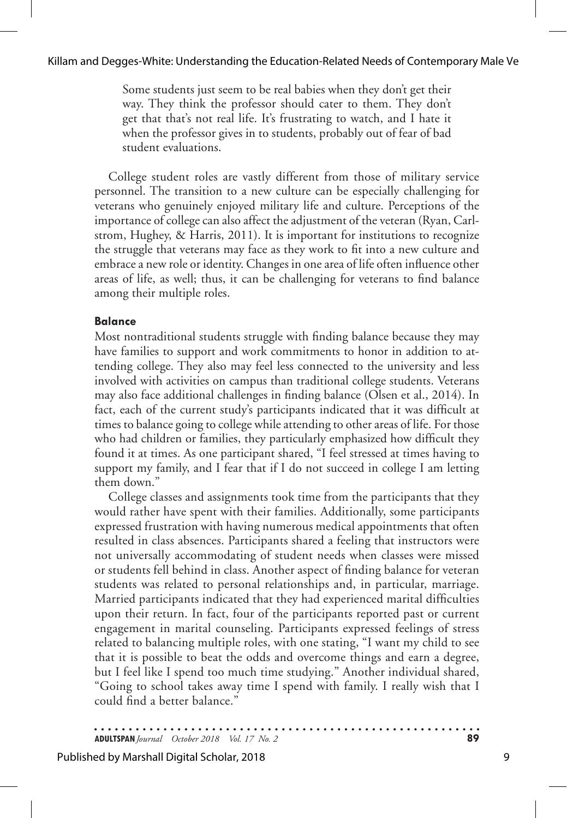Some students just seem to be real babies when they don't get their way. They think the professor should cater to them. They don't get that that's not real life. It's frustrating to watch, and I hate it when the professor gives in to students, probably out of fear of bad student evaluations.

College student roles are vastly different from those of military service personnel. The transition to a new culture can be especially challenging for veterans who genuinely enjoyed military life and culture. Perceptions of the importance of college can also affect the adjustment of the veteran (Ryan, Carlstrom, Hughey, & Harris, 2011). It is important for institutions to recognize the struggle that veterans may face as they work to fit into a new culture and embrace a new role or identity. Changes in one area of life often influence other areas of life, as well; thus, it can be challenging for veterans to find balance among their multiple roles.

#### **Balance**

Most nontraditional students struggle with finding balance because they may have families to support and work commitments to honor in addition to attending college. They also may feel less connected to the university and less involved with activities on campus than traditional college students. Veterans may also face additional challenges in finding balance (Olsen et al., 2014). In fact, each of the current study's participants indicated that it was difficult at times to balance going to college while attending to other areas of life. For those who had children or families, they particularly emphasized how difficult they found it at times. As one participant shared, "I feel stressed at times having to support my family, and I fear that if I do not succeed in college I am letting them down."

College classes and assignments took time from the participants that they would rather have spent with their families. Additionally, some participants expressed frustration with having numerous medical appointments that often resulted in class absences. Participants shared a feeling that instructors were not universally accommodating of student needs when classes were missed or students fell behind in class. Another aspect of finding balance for veteran students was related to personal relationships and, in particular, marriage. Married participants indicated that they had experienced marital difficulties upon their return. In fact, four of the participants reported past or current engagement in marital counseling. Participants expressed feelings of stress related to balancing multiple roles, with one stating, "I want my child to see that it is possible to beat the odds and overcome things and earn a degree, but I feel like I spend too much time studying." Another individual shared, "Going to school takes away time I spend with family. I really wish that I could find a better balance."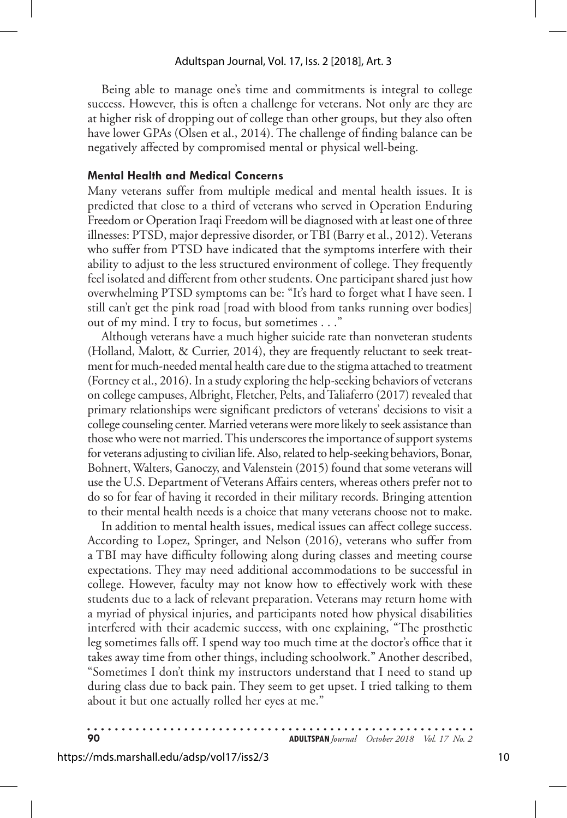Being able to manage one's time and commitments is integral to college success. However, this is often a challenge for veterans. Not only are they are at higher risk of dropping out of college than other groups, but they also often have lower GPAs (Olsen et al., 2014). The challenge of finding balance can be negatively affected by compromised mental or physical well-being.

#### **Mental Health and Medical Concerns**

Many veterans suffer from multiple medical and mental health issues. It is predicted that close to a third of veterans who served in Operation Enduring Freedom or Operation Iraqi Freedom will be diagnosed with at least one of three illnesses: PTSD, major depressive disorder, or TBI (Barry et al., 2012). Veterans who suffer from PTSD have indicated that the symptoms interfere with their ability to adjust to the less structured environment of college. They frequently feel isolated and different from other students. One participant shared just how overwhelming PTSD symptoms can be: "It's hard to forget what I have seen. I still can't get the pink road [road with blood from tanks running over bodies] out of my mind. I try to focus, but sometimes . . ."

Although veterans have a much higher suicide rate than nonveteran students (Holland, Malott, & Currier, 2014), they are frequently reluctant to seek treatment for much-needed mental health care due to the stigma attached to treatment (Fortney et al., 2016). In a study exploring the help-seeking behaviors of veterans on college campuses, Albright, Fletcher, Pelts, and Taliaferro (2017) revealed that primary relationships were significant predictors of veterans' decisions to visit a college counseling center. Married veterans were more likely to seek assistance than those who were not married. This underscores the importance of support systems for veterans adjusting to civilian life. Also, related to help-seeking behaviors, Bonar, Bohnert, Walters, Ganoczy, and Valenstein (2015) found that some veterans will use the U.S. Department of Veterans Affairs centers, whereas others prefer not to do so for fear of having it recorded in their military records. Bringing attention to their mental health needs is a choice that many veterans choose not to make.

In addition to mental health issues, medical issues can affect college success. According to Lopez, Springer, and Nelson (2016), veterans who suffer from a TBI may have difficulty following along during classes and meeting course expectations. They may need additional accommodations to be successful in college. However, faculty may not know how to effectively work with these students due to a lack of relevant preparation. Veterans may return home with a myriad of physical injuries, and participants noted how physical disabilities interfered with their academic success, with one explaining, "The prosthetic leg sometimes falls off. I spend way too much time at the doctor's office that it takes away time from other things, including schoolwork." Another described, "Sometimes I don't think my instructors understand that I need to stand up during class due to back pain. They seem to get upset. I tried talking to them about it but one actually rolled her eyes at me."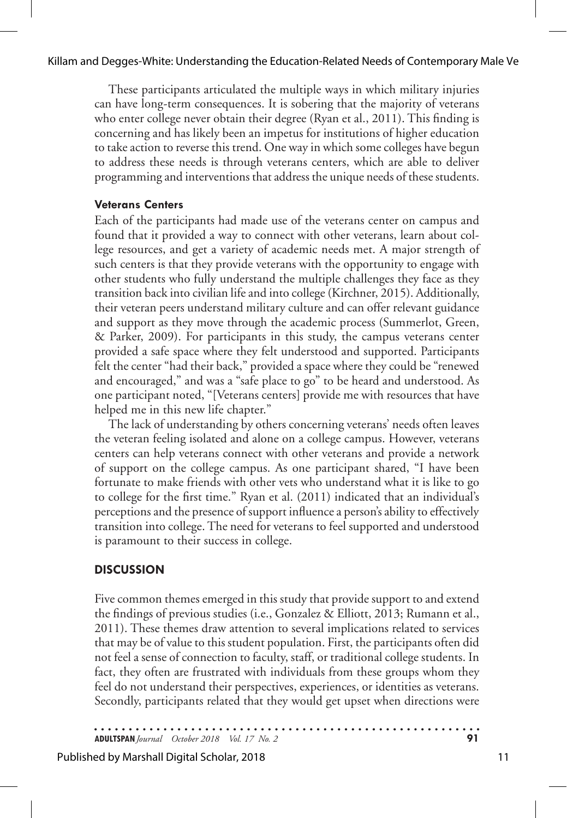These participants articulated the multiple ways in which military injuries can have long-term consequences. It is sobering that the majority of veterans who enter college never obtain their degree (Ryan et al., 2011). This finding is concerning and has likely been an impetus for institutions of higher education to take action to reverse this trend. One way in which some colleges have begun to address these needs is through veterans centers, which are able to deliver programming and interventions that address the unique needs of these students.

#### **Veterans Centers**

Each of the participants had made use of the veterans center on campus and found that it provided a way to connect with other veterans, learn about college resources, and get a variety of academic needs met. A major strength of such centers is that they provide veterans with the opportunity to engage with other students who fully understand the multiple challenges they face as they transition back into civilian life and into college (Kirchner, 2015). Additionally, their veteran peers understand military culture and can offer relevant guidance and support as they move through the academic process (Summerlot, Green, & Parker, 2009). For participants in this study, the campus veterans center provided a safe space where they felt understood and supported. Participants felt the center "had their back," provided a space where they could be "renewed and encouraged," and was a "safe place to go" to be heard and understood. As one participant noted, "[Veterans centers] provide me with resources that have helped me in this new life chapter."

The lack of understanding by others concerning veterans' needs often leaves the veteran feeling isolated and alone on a college campus. However, veterans centers can help veterans connect with other veterans and provide a network of support on the college campus. As one participant shared, "I have been fortunate to make friends with other vets who understand what it is like to go to college for the first time." Ryan et al. (2011) indicated that an individual's perceptions and the presence of support influence a person's ability to effectively transition into college. The need for veterans to feel supported and understood is paramount to their success in college.

### **DISCUSSION**

Five common themes emerged in this study that provide support to and extend the findings of previous studies (i.e., Gonzalez & Elliott, 2013; Rumann et al., 2011). These themes draw attention to several implications related to services that may be of value to this student population. First, the participants often did not feel a sense of connection to faculty, staff, or traditional college students. In fact, they often are frustrated with individuals from these groups whom they feel do not understand their perspectives, experiences, or identities as veterans. Secondly, participants related that they would get upset when directions were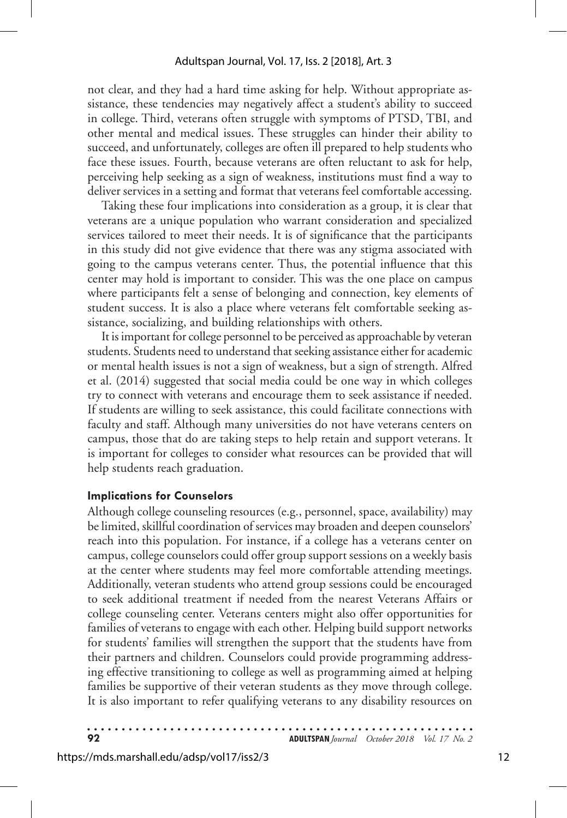not clear, and they had a hard time asking for help. Without appropriate assistance, these tendencies may negatively affect a student's ability to succeed in college. Third, veterans often struggle with symptoms of PTSD, TBI, and other mental and medical issues. These struggles can hinder their ability to succeed, and unfortunately, colleges are often ill prepared to help students who face these issues. Fourth, because veterans are often reluctant to ask for help, perceiving help seeking as a sign of weakness, institutions must find a way to deliver services in a setting and format that veterans feel comfortable accessing.

Taking these four implications into consideration as a group, it is clear that veterans are a unique population who warrant consideration and specialized services tailored to meet their needs. It is of significance that the participants in this study did not give evidence that there was any stigma associated with going to the campus veterans center. Thus, the potential influence that this center may hold is important to consider. This was the one place on campus where participants felt a sense of belonging and connection, key elements of student success. It is also a place where veterans felt comfortable seeking assistance, socializing, and building relationships with others.

It is important for college personnel to be perceived as approachable by veteran students. Students need to understand that seeking assistance either for academic or mental health issues is not a sign of weakness, but a sign of strength. Alfred et al. (2014) suggested that social media could be one way in which colleges try to connect with veterans and encourage them to seek assistance if needed. If students are willing to seek assistance, this could facilitate connections with faculty and staff. Although many universities do not have veterans centers on campus, those that do are taking steps to help retain and support veterans. It is important for colleges to consider what resources can be provided that will help students reach graduation.

#### **Implications for Counselors**

Although college counseling resources (e.g., personnel, space, availability) may be limited, skillful coordination of services may broaden and deepen counselors' reach into this population. For instance, if a college has a veterans center on campus, college counselors could offer group support sessions on a weekly basis at the center where students may feel more comfortable attending meetings. Additionally, veteran students who attend group sessions could be encouraged to seek additional treatment if needed from the nearest Veterans Affairs or college counseling center. Veterans centers might also offer opportunities for families of veterans to engage with each other. Helping build support networks for students' families will strengthen the support that the students have from their partners and children. Counselors could provide programming addressing effective transitioning to college as well as programming aimed at helping families be supportive of their veteran students as they move through college. It is also important to refer qualifying veterans to any disability resources on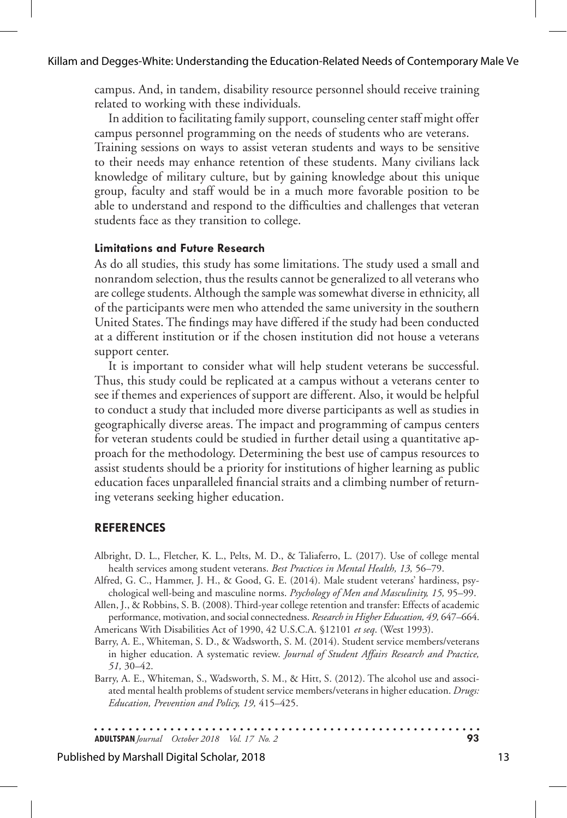campus. And, in tandem, disability resource personnel should receive training related to working with these individuals.

In addition to facilitating family support, counseling center staff might offer campus personnel programming on the needs of students who are veterans. Training sessions on ways to assist veteran students and ways to be sensitive to their needs may enhance retention of these students. Many civilians lack knowledge of military culture, but by gaining knowledge about this unique group, faculty and staff would be in a much more favorable position to be able to understand and respond to the difficulties and challenges that veteran students face as they transition to college.

#### **Limitations and Future Research**

As do all studies, this study has some limitations. The study used a small and nonrandom selection, thus the results cannot be generalized to all veterans who are college students. Although the sample was somewhat diverse in ethnicity, all of the participants were men who attended the same university in the southern United States. The findings may have differed if the study had been conducted at a different institution or if the chosen institution did not house a veterans support center.

It is important to consider what will help student veterans be successful. Thus, this study could be replicated at a campus without a veterans center to see if themes and experiences of support are different. Also, it would be helpful to conduct a study that included more diverse participants as well as studies in geographically diverse areas. The impact and programming of campus centers for veteran students could be studied in further detail using a quantitative approach for the methodology. Determining the best use of campus resources to assist students should be a priority for institutions of higher learning as public education faces unparalleled financial straits and a climbing number of returning veterans seeking higher education.

#### **REFERENCES**

- Albright, D. L., Fletcher, K. L., Pelts, M. D., & Taliaferro, L. (2017). Use of college mental health services among student veterans. *Best Practices in Mental Health, 13,* 56–79.
- Alfred, G. C., Hammer, J. H., & Good, G. E. (2014). Male student veterans' hardiness, psychological well-being and masculine norms. *Psychology of Men and Masculinity, 15,* 95–99.
- Allen, J., & Robbins, S. B. (2008). Third-year college retention and transfer: Effects of academic performance, motivation, and social connectedness. *Research in Higher Education, 49,* 647–664. Americans With Disabilities Act of 1990, 42 U.S.C.A. §12101 *et seq*. (West 1993).
- Barry, A. E., Whiteman, S. D., & Wadsworth, S. M. (2014). Student service members/veterans in higher education. A systematic review. *Journal of Student Affairs Research and Practice, 51,* 30–42.
- Barry, A. E., Whiteman, S., Wadsworth, S. M., & Hitt, S. (2012). The alcohol use and associated mental health problems of student service members/veterans in higher education. *Drugs: Education, Prevention and Policy, 19,* 415–425.

. . . . . . . . . . . . . . . .

. . . . . . . . . . . . . . . . . . **ADULTSPAN***Journal October 2018 Vol. 17 No. 2* **93**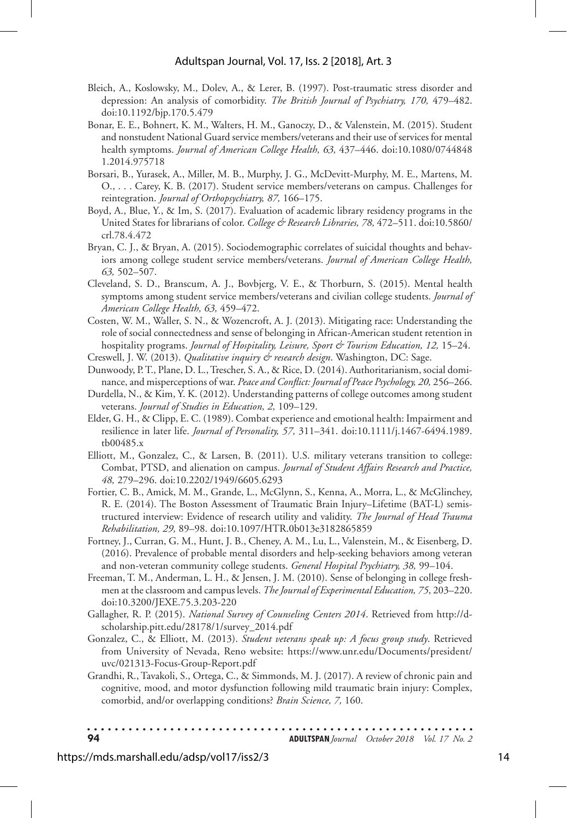- Bleich, A., Koslowsky, M., Dolev, A., & Lerer, B. (1997). Post-traumatic stress disorder and depression: An analysis of comorbidity. *The British Journal of Psychiatry, 170,* 479–482. doi:10.1192/bjp.170.5.479
- Bonar, E. E., Bohnert, K. M., Walters, H. M., Ganoczy, D., & Valenstein, M. (2015). Student and nonstudent National Guard service members/veterans and their use of services for mental health symptoms. *Journal of American College Health, 63,* 437–446. doi:10.1080/0744848 1.2014.975718
- Borsari, B., Yurasek, A., Miller, M. B., Murphy, J. G., McDevitt-Murphy, M. E., Martens, M. O., . . . Carey, K. B. (2017). Student service members/veterans on campus. Challenges for reintegration. *Journal of Orthopsychiatry, 87,* 166–175.
- Boyd, A., Blue, Y., & Im, S. (2017). Evaluation of academic library residency programs in the United States for librarians of color. *College & Research Libraries, 78,* 472–511. doi:10.5860/ crl.78.4.472
- Bryan, C. J., & Bryan, A. (2015). Sociodemographic correlates of suicidal thoughts and behaviors among college student service members/veterans. *Journal of American College Health, 63,* 502–507.
- Cleveland, S. D., Branscum, A. J., Bovbjerg, V. E., & Thorburn, S. (2015). Mental health symptoms among student service members/veterans and civilian college students. *Journal of American College Health, 63,* 459–472.
- Costen, W. M., Waller, S. N., & Wozencroft, A. J. (2013). Mitigating race: Understanding the role of social connectedness and sense of belonging in African-American student retention in hospitality programs. *Journal of Hospitality, Leisure, Sport & Tourism Education, 12, 15-24*.
- Creswell, J. W. (2013). *Qualitative inquiry & research design*. Washington, DC: Sage.
- Dunwoody, P. T., Plane, D. L., Trescher, S. A., & Rice, D. (2014). Authoritarianism, social dominance, and misperceptions of war. *Peace and Conflict: Journal of Peace Psychology, 20,* 256–266.
- Durdella, N., & Kim, Y. K. (2012). Understanding patterns of college outcomes among student veterans. *Journal of Studies in Education, 2,* 109–129.
- Elder, G. H., & Clipp, E. C. (1989). Combat experience and emotional health: Impairment and resilience in later life. *Journal of Personality, 57,* 311–341. doi:10.1111/j.1467-6494.1989. tb00485.x
- Elliott, M., Gonzalez, C., & Larsen, B. (2011). U.S. military veterans transition to college: Combat, PTSD, and alienation on campus. *Journal of Student Affairs Research and Practice, 48,* 279–296. doi:10.2202/1949/6605.6293
- Fortier, C. B., Amick, M. M., Grande, L., McGlynn, S., Kenna, A., Morra, L., & McGlinchey, R. E. (2014). The Boston Assessment of Traumatic Brain Injury–Lifetime (BAT-L) semistructured interview: Evidence of research utility and validity. *The Journal of Head Trauma Rehabilitation, 29,* 89–98. doi:10.1097/HTR.0b013e3182865859
- Fortney, J., Curran, G. M., Hunt, J. B., Cheney, A. M., Lu, L., Valenstein, M., & Eisenberg, D. (2016). Prevalence of probable mental disorders and help-seeking behaviors among veteran and non-veteran community college students. *General Hospital Psychiatry, 38,* 99–104.
- Freeman, T. M., Anderman, L. H., & Jensen, J. M. (2010). Sense of belonging in college freshmen at the classroom and campus levels. *The Journal of Experimental Education, 75*, 203–220. doi:10.3200/JEXE.75.3.203-220
- Gallagher, R. P. (2015). *National Survey of Counseling Centers 2014*. Retrieved from http://dscholarship.pitt.edu/28178/1/survey\_2014.pdf
- Gonzalez, C., & Elliott, M. (2013). *Student veterans speak up: A focus group study*. Retrieved from University of Nevada, Reno website: https://www.unr.edu/Documents/president/ uvc/021313-Focus-Group-Report.pdf
- Grandhi, R., Tavakoli, S., Ortega, C., & Simmonds, M. J. (2017). A review of chronic pain and cognitive, mood, and motor dysfunction following mild traumatic brain injury: Complex, comorbid, and/or overlapping conditions? *Brain Science, 7,* 160.

. . . . . . . . . . **94 ADULTSPAN***Journal October 2018 Vol. 17 No. 2*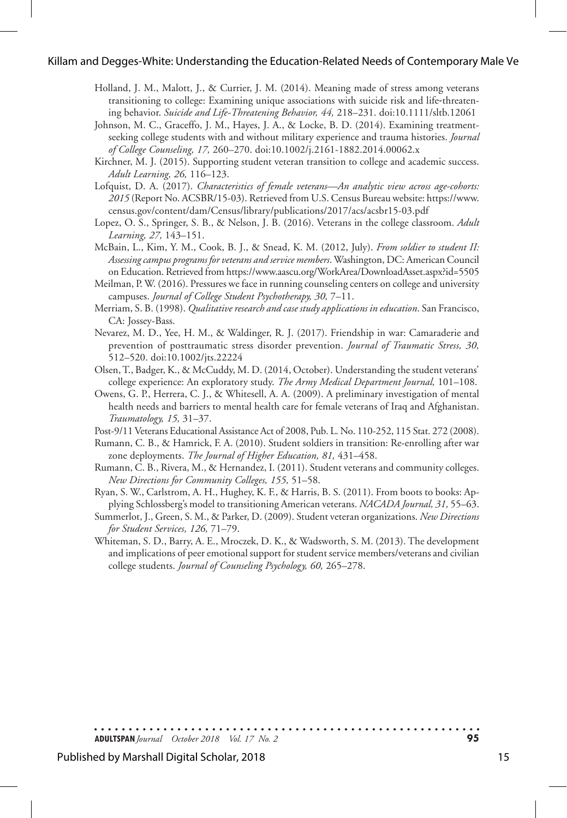#### Killam and Degges-White: Understanding the Education-Related Needs of Contemporary Male Ve

- Holland, J. M., Malott, J., & Currier, J. M. (2014). Meaning made of stress among veterans transitioning to college: Examining unique associations with suicide risk and life-threatening behavior. *Suicide and Life-Threatening Behavior, 44,* 218–231. doi:10.1111/sltb.12061
- Johnson, M. C., Graceffo, J. M., Hayes, J. A., & Locke, B. D. (2014). Examining treatmentseeking college students with and without military experience and trauma histories. *Journal of College Counseling, 17,* 260–270. doi:10.1002/j.2161-1882.2014.00062.x
- Kirchner, M. J. (2015). Supporting student veteran transition to college and academic success. *Adult Learning, 26,* 116–123.
- Lofquist, D. A. (2017). *Characteristics of female veterans—An analytic view across age-cohorts: 2015* (Report No. ACSBR/15-03). Retrieved from U.S. Census Bureau website: https://www. census.gov/content/dam/Census/library/publications/2017/acs/acsbr15-03.pdf
- Lopez, O. S., Springer, S. B., & Nelson, J. B. (2016). Veterans in the college classroom. *Adult Learning, 27,* 143–151.
- McBain, L., Kim, Y. M., Cook, B. J., & Snead, K. M. (2012, July). *From soldier to student II: Assessing campus programs for veterans and service members*. Washington, DC: American Council on Education. Retrieved from https://www.aascu.org/WorkArea/DownloadAsset.aspx?id=5505
- Meilman, P. W. (2016). Pressures we face in running counseling centers on college and university campuses. *Journal of College Student Psychotherapy, 30,* 7–11.
- Merriam, S. B. (1998). *Qualitative research and case study applications in education*. San Francisco, CA: Jossey-Bass.
- Nevarez, M. D., Yee, H. M., & Waldinger, R. J. (2017). Friendship in war: Camaraderie and prevention of posttraumatic stress disorder prevention. *Journal of Traumatic Stress, 30,* 512–520. doi:10.1002/jts.22224
- Olsen, T., Badger, K., & McCuddy, M. D. (2014, October). Understanding the student veterans' college experience: An exploratory study. *The Army Medical Department Journal,* 101–108.
- Owens, G. P., Herrera, C. J., & Whitesell, A. A. (2009). A preliminary investigation of mental health needs and barriers to mental health care for female veterans of Iraq and Afghanistan. *Traumatology, 15,* 31–37.
- Post-9/11 Veterans Educational Assistance Act of 2008, Pub. L. No. 110-252, 115 Stat. 272 (2008).
- Rumann, C. B., & Hamrick, F. A. (2010). Student soldiers in transition: Re-enrolling after war zone deployments. *The Journal of Higher Education, 81,* 431–458.
- Rumann, C. B., Rivera, M., & Hernandez, I. (2011). Student veterans and community colleges. *New Directions for Community Colleges, 155,* 51–58.
- Ryan, S. W., Carlstrom, A. H., Hughey, K. F., & Harris, B. S. (2011). From boots to books: Applying Schlossberg's model to transitioning American veterans. *NACADA Journal, 31,* 55–63.
- Summerlot, J., Green, S. M., & Parker, D. (2009). Student veteran organizations. *New Directions for Student Services, 126,* 71–79.
- Whiteman, S. D., Barry, A. E., Mroczek, D. K., & Wadsworth, S. M. (2013). The development and implications of peer emotional support for student service members/veterans and civilian college students. *Journal of Counseling Psychology, 60,* 265–278.